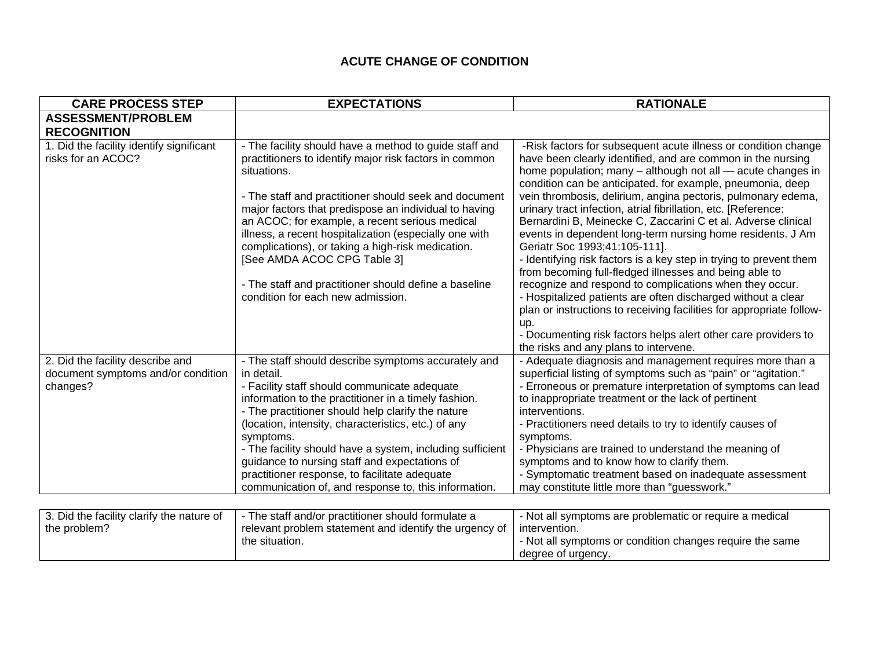## **ACUTE CHANGE OF CONDITION**

| <b>CARE PROCESS STEP</b>                                                           | <b>EXPECTATIONS</b>                                                                                                                                                                                                                                                                                                                                                                                                                                                                                                       | <b>RATIONALE</b>                                                                                                                                                                                                                                                                                                                                                                                                                                                                                                                                                                                                                                                                                                                                        |
|------------------------------------------------------------------------------------|---------------------------------------------------------------------------------------------------------------------------------------------------------------------------------------------------------------------------------------------------------------------------------------------------------------------------------------------------------------------------------------------------------------------------------------------------------------------------------------------------------------------------|---------------------------------------------------------------------------------------------------------------------------------------------------------------------------------------------------------------------------------------------------------------------------------------------------------------------------------------------------------------------------------------------------------------------------------------------------------------------------------------------------------------------------------------------------------------------------------------------------------------------------------------------------------------------------------------------------------------------------------------------------------|
| <b>ASSESSMENT/PROBLEM</b><br><b>RECOGNITION</b>                                    |                                                                                                                                                                                                                                                                                                                                                                                                                                                                                                                           |                                                                                                                                                                                                                                                                                                                                                                                                                                                                                                                                                                                                                                                                                                                                                         |
| 1. Did the facility identify significant<br>risks for an ACOC?                     | - The facility should have a method to guide staff and<br>practitioners to identify major risk factors in common<br>situations.<br>- The staff and practitioner should seek and document<br>major factors that predispose an individual to having<br>an ACOC; for example, a recent serious medical<br>illness, a recent hospitalization (especially one with<br>complications), or taking a high-risk medication.<br>[See AMDA ACOC CPG Table 3]<br>- The staff and practitioner should define a baseline                | -Risk factors for subsequent acute illness or condition change<br>have been clearly identified, and are common in the nursing<br>home population; many - although not all - acute changes in<br>condition can be anticipated. for example, pneumonia, deep<br>vein thrombosis, delirium, angina pectoris, pulmonary edema,<br>urinary tract infection, atrial fibrillation, etc. [Reference:<br>Bernardini B, Meinecke C, Zaccarini C et al. Adverse clinical<br>events in dependent long-term nursing home residents. J Am<br>Geriatr Soc 1993;41:105-111].<br>- Identifying risk factors is a key step in trying to prevent them<br>from becoming full-fledged illnesses and being able to<br>recognize and respond to complications when they occur. |
|                                                                                    | condition for each new admission.                                                                                                                                                                                                                                                                                                                                                                                                                                                                                         | - Hospitalized patients are often discharged without a clear<br>plan or instructions to receiving facilities for appropriate follow-<br>up.<br>- Documenting risk factors helps alert other care providers to<br>the risks and any plans to intervene.                                                                                                                                                                                                                                                                                                                                                                                                                                                                                                  |
| 2. Did the facility describe and<br>document symptoms and/or condition<br>changes? | - The staff should describe symptoms accurately and<br>in detail.<br>- Facility staff should communicate adequate<br>information to the practitioner in a timely fashion.<br>- The practitioner should help clarify the nature<br>(location, intensity, characteristics, etc.) of any<br>symptoms.<br>- The facility should have a system, including sufficient<br>guidance to nursing staff and expectations of<br>practitioner response, to facilitate adequate<br>communication of, and response to, this information. | - Adequate diagnosis and management requires more than a<br>superficial listing of symptoms such as "pain" or "agitation."<br>- Erroneous or premature interpretation of symptoms can lead<br>to inappropriate treatment or the lack of pertinent<br>interventions.<br>- Practitioners need details to try to identify causes of<br>symptoms.<br>- Physicians are trained to understand the meaning of<br>symptoms and to know how to clarify them.<br>- Symptomatic treatment based on inadequate assessment<br>may constitute little more than "guesswork."                                                                                                                                                                                           |
| 3. Did the facility clarify the nature of<br>the problem?                          | - The staff and/or practitioner should formulate a<br>relevant problem statement and identify the urgency of<br>the situation.                                                                                                                                                                                                                                                                                                                                                                                            | - Not all symptoms are problematic or require a medical<br>intervention.<br>- Not all symptoms or condition changes require the same<br>degree of urgency.                                                                                                                                                                                                                                                                                                                                                                                                                                                                                                                                                                                              |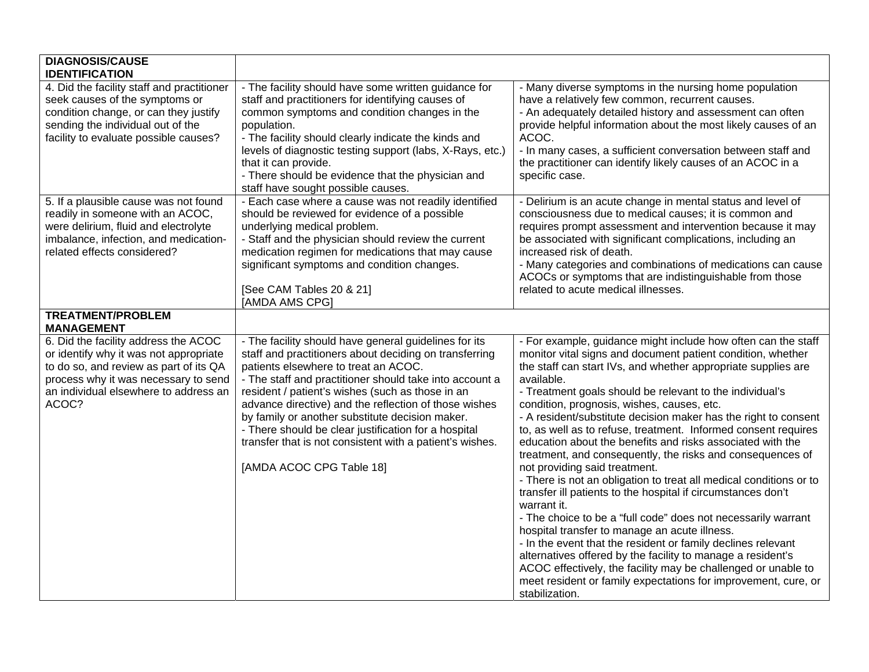| <b>DIAGNOSIS/CAUSE</b><br><b>IDENTIFICATION</b>                                                                                                                                                                    |                                                                                                                                                                                                                                                                                                                                                                                                                                                                                                                                    |                                                                                                                                                                                                                                                                                                                                                                                                                                                                                                                                                                                                                                                                                                                                                                                                                                                                                                                                                                                                                                                                                                                                                                                    |
|--------------------------------------------------------------------------------------------------------------------------------------------------------------------------------------------------------------------|------------------------------------------------------------------------------------------------------------------------------------------------------------------------------------------------------------------------------------------------------------------------------------------------------------------------------------------------------------------------------------------------------------------------------------------------------------------------------------------------------------------------------------|------------------------------------------------------------------------------------------------------------------------------------------------------------------------------------------------------------------------------------------------------------------------------------------------------------------------------------------------------------------------------------------------------------------------------------------------------------------------------------------------------------------------------------------------------------------------------------------------------------------------------------------------------------------------------------------------------------------------------------------------------------------------------------------------------------------------------------------------------------------------------------------------------------------------------------------------------------------------------------------------------------------------------------------------------------------------------------------------------------------------------------------------------------------------------------|
| 4. Did the facility staff and practitioner<br>seek causes of the symptoms or<br>condition change, or can they justify<br>sending the individual out of the<br>facility to evaluate possible causes?                | - The facility should have some written guidance for<br>staff and practitioners for identifying causes of<br>common symptoms and condition changes in the<br>population.<br>- The facility should clearly indicate the kinds and<br>levels of diagnostic testing support (labs, X-Rays, etc.)<br>that it can provide.<br>- There should be evidence that the physician and<br>staff have sought possible causes.                                                                                                                   | - Many diverse symptoms in the nursing home population<br>have a relatively few common, recurrent causes.<br>- An adequately detailed history and assessment can often<br>provide helpful information about the most likely causes of an<br>ACOC.<br>- In many cases, a sufficient conversation between staff and<br>the practitioner can identify likely causes of an ACOC in a<br>specific case.                                                                                                                                                                                                                                                                                                                                                                                                                                                                                                                                                                                                                                                                                                                                                                                 |
| 5. If a plausible cause was not found<br>readily in someone with an ACOC,<br>were delirium, fluid and electrolyte<br>imbalance, infection, and medication-<br>related effects considered?                          | - Each case where a cause was not readily identified<br>should be reviewed for evidence of a possible<br>underlying medical problem.<br>- Staff and the physician should review the current<br>medication regimen for medications that may cause<br>significant symptoms and condition changes.<br>[See CAM Tables 20 & 21]<br>[AMDA AMS CPG]                                                                                                                                                                                      | - Delirium is an acute change in mental status and level of<br>consciousness due to medical causes; it is common and<br>requires prompt assessment and intervention because it may<br>be associated with significant complications, including an<br>increased risk of death.<br>- Many categories and combinations of medications can cause<br>ACOCs or symptoms that are indistinguishable from those<br>related to acute medical illnesses.                                                                                                                                                                                                                                                                                                                                                                                                                                                                                                                                                                                                                                                                                                                                      |
| <b>TREATMENT/PROBLEM</b><br><b>MANAGEMENT</b>                                                                                                                                                                      |                                                                                                                                                                                                                                                                                                                                                                                                                                                                                                                                    |                                                                                                                                                                                                                                                                                                                                                                                                                                                                                                                                                                                                                                                                                                                                                                                                                                                                                                                                                                                                                                                                                                                                                                                    |
| 6. Did the facility address the ACOC<br>or identify why it was not appropriate<br>to do so, and review as part of its QA<br>process why it was necessary to send<br>an individual elsewhere to address an<br>ACOC? | - The facility should have general guidelines for its<br>staff and practitioners about deciding on transferring<br>patients elsewhere to treat an ACOC.<br>- The staff and practitioner should take into account a<br>resident / patient's wishes (such as those in an<br>advance directive) and the reflection of those wishes<br>by family or another substitute decision maker.<br>- There should be clear justification for a hospital<br>transfer that is not consistent with a patient's wishes.<br>[AMDA ACOC CPG Table 18] | - For example, guidance might include how often can the staff<br>monitor vital signs and document patient condition, whether<br>the staff can start IVs, and whether appropriate supplies are<br>available.<br>- Treatment goals should be relevant to the individual's<br>condition, prognosis, wishes, causes, etc.<br>- A resident/substitute decision maker has the right to consent<br>to, as well as to refuse, treatment. Informed consent requires<br>education about the benefits and risks associated with the<br>treatment, and consequently, the risks and consequences of<br>not providing said treatment.<br>- There is not an obligation to treat all medical conditions or to<br>transfer ill patients to the hospital if circumstances don't<br>warrant it.<br>- The choice to be a "full code" does not necessarily warrant<br>hospital transfer to manage an acute illness.<br>- In the event that the resident or family declines relevant<br>alternatives offered by the facility to manage a resident's<br>ACOC effectively, the facility may be challenged or unable to<br>meet resident or family expectations for improvement, cure, or<br>stabilization. |